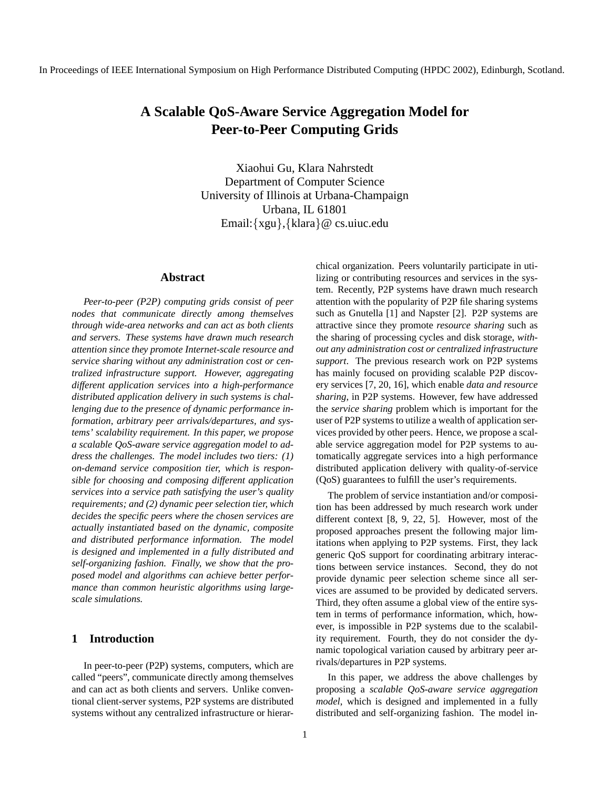# **A Scalable QoS-Aware Service Aggregation Model for Peer-to-Peer Computing Grids**

Xiaohui Gu, Klara Nahrstedt Department of Computer Science University of Illinois at Urbana-Champaign Urbana, IL 61801 Email:{xgu},{klara}@ cs.uiuc.edu

#### **Abstract**

*Peer-to-peer (P2P) computing grids consist of peer nodes that communicate directly among themselves through wide-area networks and can act as both clients and servers. These systems have drawn much research attention since they promote Internet-scale resource and service sharing without any administration cost or centralized infrastructure support. However, aggregating different application services into a high-performance distributed application delivery in such systems is challenging due to the presence of dynamic performance information, arbitrary peer arrivals/departures, and systems' scalability requirement. In this paper, we propose a scalable QoS-aware service aggregation model to address the challenges. The model includes two tiers: (1) on-demand service composition tier, which is responsible for choosing and composing different application services into a service path satisfying the user's quality requirements; and (2) dynamic peer selection tier, which decides the specific peers where the chosen services are actually instantiated based on the dynamic, composite and distributed performance information. The model is designed and implemented in a fully distributed and self-organizing fashion. Finally, we show that the proposed model and algorithms can achieve better performance than common heuristic algorithms using largescale simulations.*

### **1 Introduction**

In peer-to-peer (P2P) systems, computers, which are called "peers", communicate directly among themselves and can act as both clients and servers. Unlike conventional client-server systems, P2P systems are distributed systems without any centralized infrastructure or hierarchical organization. Peers voluntarily participate in utilizing or contributing resources and services in the system. Recently, P2P systems have drawn much research attention with the popularity of P2P file sharing systems such as Gnutella [1] and Napster [2]. P2P systems are attractive since they promote *resource sharing* such as the sharing of processing cycles and disk storage, *without any administration cost or centralized infrastructure support*. The previous research work on P2P systems has mainly focused on providing scalable P2P discovery services [7, 20, 16], which enable *data and resource sharing*, in P2P systems. However, few have addressed the *service sharing* problem which is important for the user of P2P systems to utilize a wealth of application services provided by other peers. Hence, we propose a scalable service aggregation model for P2P systems to automatically aggregate services into a high performance distributed application delivery with quality-of-service (QoS) guarantees to fulfill the user's requirements.

The problem of service instantiation and/or composition has been addressed by much research work under different context [8, 9, 22, 5]. However, most of the proposed approaches present the following major limitations when applying to P2P systems. First, they lack generic QoS support for coordinating arbitrary interactions between service instances. Second, they do not provide dynamic peer selection scheme since all services are assumed to be provided by dedicated servers. Third, they often assume a global view of the entire system in terms of performance information, which, however, is impossible in P2P systems due to the scalability requirement. Fourth, they do not consider the dynamic topological variation caused by arbitrary peer arrivals/departures in P2P systems.

In this paper, we address the above challenges by proposing a *scalable QoS-aware service aggregation model*, which is designed and implemented in a fully distributed and self-organizing fashion. The model in-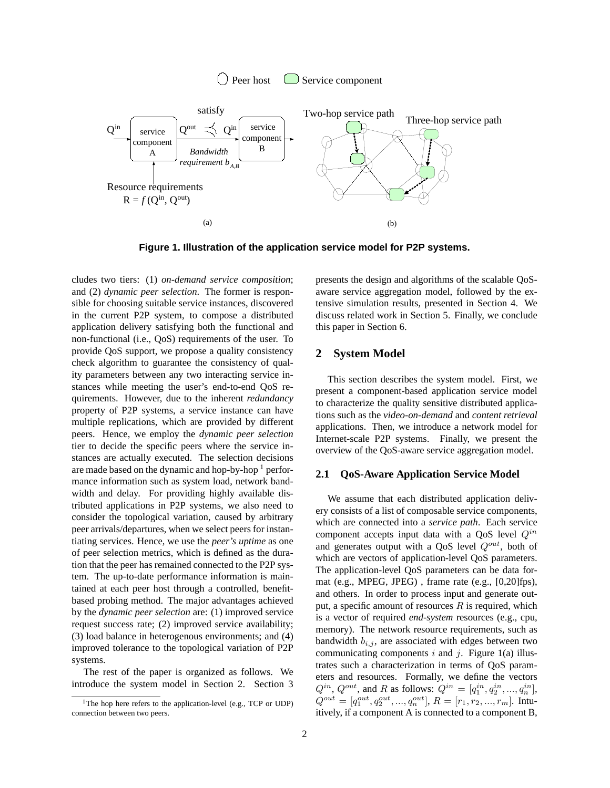



**Figure 1. Illustration of the application service model for P2P systems.**

cludes two tiers: (1) *on-demand service composition*; and (2) *dynamic peer selection*. The former is responsible for choosing suitable service instances, discovered in the current P2P system, to compose a distributed application delivery satisfying both the functional and non-functional (i.e., QoS) requirements of the user. To provide QoS support, we propose a quality consistency check algorithm to guarantee the consistency of quality parameters between any two interacting service instances while meeting the user's end-to-end QoS requirements. However, due to the inherent *redundancy* property of P2P systems, a service instance can have multiple replications, which are provided by different peers. Hence, we employ the *dynamic peer selection* tier to decide the specific peers where the service instances are actually executed. The selection decisions are made based on the dynamic and hop-by-hop  $1$  performance information such as system load, network bandwidth and delay. For providing highly available distributed applications in P2P systems, we also need to consider the topological variation, caused by arbitrary peer arrivals/departures, when we select peers for instantiating services. Hence, we use the *peer's uptime* as one of peer selection metrics, which is defined as the duration that the peer has remained connected to the P2P system. The up-to-date performance information is maintained at each peer host through a controlled, benefitbased probing method. The major advantages achieved by the *dynamic peer selection* are: (1) improved service request success rate; (2) improved service availability; (3) load balance in heterogenous environments; and (4) improved tolerance to the topological variation of P2P systems.

The rest of the paper is organized as follows. We introduce the system model in Section 2. Section 3 presents the design and algorithms of the scalable QoSaware service aggregation model, followed by the extensive simulation results, presented in Section 4. We discuss related work in Section 5. Finally, we conclude this paper in Section 6.

#### **2 System Model**

This section describes the system model. First, we present a component-based application service model to characterize the quality sensitive distributed applications such as the *video-on-demand* and *content retrieval* applications. Then, we introduce a network model for Internet-scale P2P systems. Finally, we present the overview of the QoS-aware service aggregation model.

#### **2.1 QoS-Aware Application Service Model**

We assume that each distributed application delivery consists of a list of composable service components, which are connected into a *service path*. Each service component accepts input data with a QoS level  $Q^{in}$ and generates output with a QoS level  $Q^{out}$ , both of which are vectors of application-level QoS parameters. The application-level QoS parameters can be data format (e.g., MPEG, JPEG) , frame rate (e.g., [0,20]fps), and others. In order to process input and generate output, a specific amount of resources  $R$  is required, which is a vector of required *end-system* resources (e.g., cpu, memory). The network resource requirements, such as bandwidth  $b_{i,j}$ , are associated with edges between two communicating components i and j. Figure 1(a) illustrates such a characterization in terms of QoS parameters and resources. Formally, we define the vectors  $Q^{in}$ ,  $Q^{out}$ , and R as follows:  $Q^{in} = [q_1^{in}, q_2^{in}, ..., q_n^{in}]$ ,  $Q^{out} = [q_1^{out}, q_2^{out}, ..., q_n^{out}], R = [r_1, r_2, ..., r_m].$  Intuitively, if a component A is connected to a component B,

<sup>&</sup>lt;sup>1</sup>The hop here refers to the application-level (e.g., TCP or UDP) connection between two peers.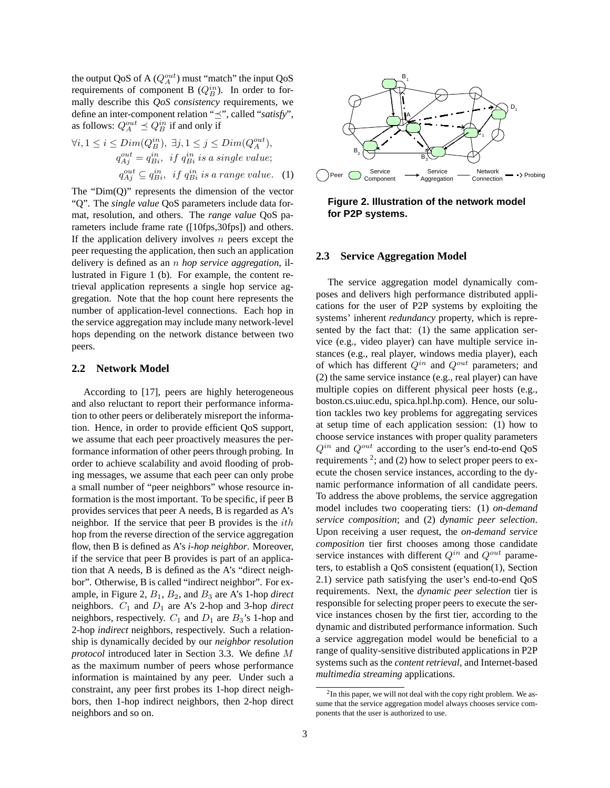the output QoS of A  $(Q_A^{out})$  must "match" the input QoS requirements of component B  $(Q_B^{in})$ . In order to formally describe this *QoS consistency* requirements, we define an inter-component relation " $\preceq$ ", called "*satisfy*", as follows:  $Q_A^{out} \preceq Q_B^{in}$  if and only if

$$
\forall i, 1 \le i \le Dim(Q_B^{in}), \exists j, 1 \le j \le Dim(Q_A^{out}),
$$
  
\n
$$
q_{Aj}^{out} = q_{Bi}^{in}, \text{ if } q_{Bi}^{in} \text{ is a single value;}
$$
  
\n
$$
q_{Aj}^{out} \subseteq q_{Bi}^{in}, \text{ if } q_{Bi}^{in} \text{ is a range value.}
$$
 (1)

The " $Dim(Q)$ " represents the dimension of the vector "Q". The *single value* QoS parameters include data format, resolution, and others. The *range value* QoS parameters include frame rate ([10fps,30fps]) and others. If the application delivery involves  $n$  peers except the peer requesting the application, then such an application delivery is defined as an n *hop service aggregation*, illustrated in Figure 1 (b). For example, the content retrieval application represents a single hop service aggregation. Note that the hop count here represents the number of application-level connections. Each hop in the service aggregation may include many network-level hops depending on the network distance between two peers.

#### **2.2 Network Model**

According to [17], peers are highly heterogeneous and also reluctant to report their performance information to other peers or deliberately misreport the information. Hence, in order to provide efficient QoS support, we assume that each peer proactively measures the performance information of other peers through probing. In order to achieve scalability and avoid flooding of probing messages, we assume that each peer can only probe a small number of "peer neighbors" whose resource information is the most important. To be specific, if peer B provides services that peer A needs, B is regarded as A's neighbor. If the service that peer B provides is the ith hop from the reverse direction of the service aggregation flow, then B is defined as A's *i-hop neighbor*. Moreover, if the service that peer B provides is part of an application that A needs, B is defined as the A's "direct neighbor". Otherwise, B is called "indirect neighbor". For example, in Figure 2, B1, B2, and B<sup>3</sup> are A's 1-hop *direct* neighbors.  $C_1$  and  $D_1$  are A's 2-hop and 3-hop *direct* neighbors, respectively.  $C_1$  and  $D_1$  are  $B_3$ 's 1-hop and 2-hop *indirect* neighbors, respectively. Such a relationship is dynamically decided by our *neighbor resolution protocol* introduced later in Section 3.3. We define M as the maximum number of peers whose performance information is maintained by any peer. Under such a constraint, any peer first probes its 1-hop direct neighbors, then 1-hop indirect neighbors, then 2-hop direct neighbors and so on.





# **2.3 Service Aggregation Model**

The service aggregation model dynamically composes and delivers high performance distributed applications for the user of P2P systems by exploiting the systems' inherent *redundancy* property, which is represented by the fact that: (1) the same application service (e.g., video player) can have multiple service instances (e.g., real player, windows media player), each of which has different  $Q^{in}$  and  $Q^{out}$  parameters; and (2) the same service instance (e.g., real player) can have multiple copies on different physical peer hosts (e.g., boston.cs.uiuc.edu, spica.hpl.hp.com). Hence, our solution tackles two key problems for aggregating services at setup time of each application session: (1) how to choose service instances with proper quality parameters  $Q^{in}$  and  $Q^{out}$  according to the user's end-to-end QoS requirements  $2$ ; and (2) how to select proper peers to execute the chosen service instances, according to the dynamic performance information of all candidate peers. To address the above problems, the service aggregation model includes two cooperating tiers: (1) *on-demand service composition*; and (2) *dynamic peer selection*. Upon receiving a user request, the *on-demand service composition* tier first chooses among those candidate service instances with different  $Q^{in}$  and  $Q^{out}$  parameters, to establish a QoS consistent (equation(1), Section 2.1) service path satisfying the user's end-to-end QoS requirements. Next, the *dynamic peer selection* tier is responsible for selecting proper peers to execute the service instances chosen by the first tier, according to the dynamic and distributed performance information. Such a service aggregation model would be beneficial to a range of quality-sensitive distributed applications in P2P systems such as the *content retrieval*, and Internet-based *multimedia streaming* applications.

 $2$ In this paper, we will not deal with the copy right problem. We assume that the service aggregation model always chooses service components that the user is authorized to use.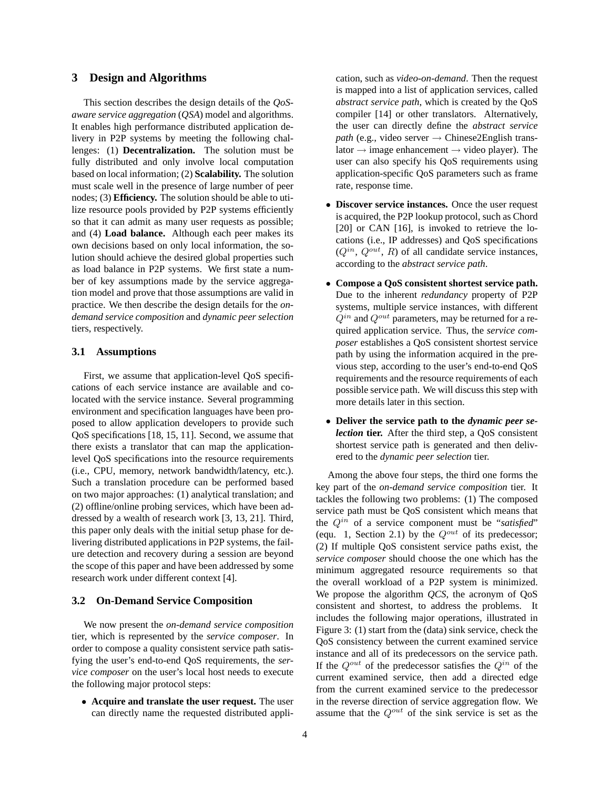# **3 Design and Algorithms**

This section describes the design details of the *QoSaware service aggregation* (*QSA*) model and algorithms. It enables high performance distributed application delivery in P2P systems by meeting the following challenges: (1) **Decentralization.** The solution must be fully distributed and only involve local computation based on local information; (2) **Scalability.** The solution must scale well in the presence of large number of peer nodes; (3) **Efficiency.** The solution should be able to utilize resource pools provided by P2P systems efficiently so that it can admit as many user requests as possible; and (4) **Load balance.** Although each peer makes its own decisions based on only local information, the solution should achieve the desired global properties such as load balance in P2P systems. We first state a number of key assumptions made by the service aggregation model and prove that those assumptions are valid in practice. We then describe the design details for the *ondemand service composition* and *dynamic peer selection* tiers, respectively.

#### **3.1 Assumptions**

First, we assume that application-level QoS specifications of each service instance are available and colocated with the service instance. Several programming environment and specification languages have been proposed to allow application developers to provide such QoS specifications [18, 15, 11]. Second, we assume that there exists a translator that can map the applicationlevel QoS specifications into the resource requirements (i.e., CPU, memory, network bandwidth/latency, etc.). Such a translation procedure can be performed based on two major approaches: (1) analytical translation; and (2) offline/online probing services, which have been addressed by a wealth of research work [3, 13, 21]. Third, this paper only deals with the initial setup phase for delivering distributed applications in P2P systems, the failure detection and recovery during a session are beyond the scope of this paper and have been addressed by some research work under different context [4].

#### **3.2 On-Demand Service Composition**

We now present the *on-demand service composition* tier, which is represented by the *service composer*. In order to compose a quality consistent service path satisfying the user's end-to-end QoS requirements, the *service composer* on the user's local host needs to execute the following major protocol steps:

• **Acquire and translate the user request.** The user can directly name the requested distributed application, such as *video-on-demand*. Then the request is mapped into a list of application services, called *abstract service path*, which is created by the QoS compiler [14] or other translators. Alternatively, the user can directly define the *abstract service path* (e.g., video server  $\rightarrow$  Chinese2English translator  $\rightarrow$  image enhancement  $\rightarrow$  video player). The user can also specify his QoS requirements using application-specific QoS parameters such as frame rate, response time.

- **Discover service instances.** Once the user request is acquired, the P2P lookup protocol, such as Chord [20] or CAN [16], is invoked to retrieve the locations (i.e., IP addresses) and QoS specifications  $(Q^{in}, Q^{out}, R)$  of all candidate service instances, according to the *abstract service path*.
- **Compose a QoS consistent shortest service path.** Due to the inherent *redundancy* property of P2P systems, multiple service instances, with different  $Q^{in}$  and  $Q^{out}$  parameters, may be returned for a required application service. Thus, the *service composer* establishes a QoS consistent shortest service path by using the information acquired in the previous step, according to the user's end-to-end QoS requirements and the resource requirements of each possible service path. We will discuss this step with more details later in this section.
- **Deliver the service path to the** *dynamic peer selection* **tier.** After the third step, a QoS consistent shortest service path is generated and then delivered to the *dynamic peer selection* tier.

Among the above four steps, the third one forms the key part of the *on-demand service composition* tier. It tackles the following two problems: (1) The composed service path must be QoS consistent which means that the  $Q^{in}$  of a service component must be "*satisfied*" (equ. 1, Section 2.1) by the  $Q^{out}$  of its predecessor; (2) If multiple QoS consistent service paths exist, the *service composer* should choose the one which has the minimum aggregated resource requirements so that the overall workload of a P2P system is minimized. We propose the algorithm *QCS*, the acronym of QoS consistent and shortest, to address the problems. It includes the following major operations, illustrated in Figure 3: (1) start from the (data) sink service, check the QoS consistency between the current examined service instance and all of its predecessors on the service path. If the  $Q^{out}$  of the predecessor satisfies the  $Q^{in}$  of the current examined service, then add a directed edge from the current examined service to the predecessor in the reverse direction of service aggregation flow. We assume that the  $Q^{out}$  of the sink service is set as the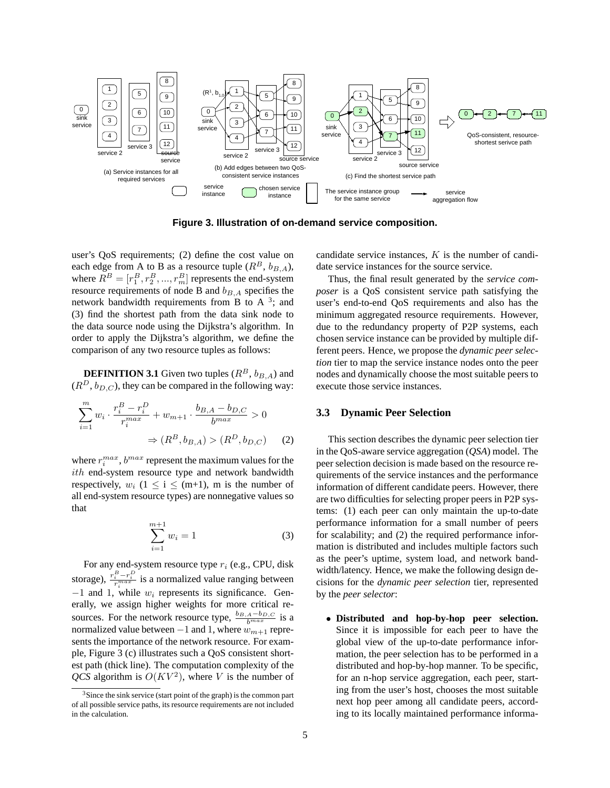

**Figure 3. Illustration of on-demand service composition.**

user's QoS requirements; (2) define the cost value on each edge from A to B as a resource tuple  $(R^B, b_{B,A})$ , where  $R^B = [r_1^B, r_2^B, ..., r_m^B]$  represents the end-system resource requirements of node B and  $b_{B,A}$  specifies the network bandwidth requirements from B to A  $3$ ; and (3) find the shortest path from the data sink node to the data source node using the Dijkstra's algorithm. In order to apply the Dijkstra's algorithm, we define the comparison of any two resource tuples as follows:

**DEFINITION 3.1** Given two tuples  $(R^B, b_{B,A})$  and  $(R^D, b_{D,C})$ , they can be compared in the following way:

$$
\sum_{i=1}^{m} w_i \cdot \frac{r_i^B - r_i^D}{r_i^{max}} + w_{m+1} \cdot \frac{b_{B,A} - b_{D,C}}{b^{max}} > 0
$$
  

$$
\Rightarrow (R^B, b_{B,A}) > (R^D, b_{D,C})
$$
 (2)

where  $r_i^{max}$ ,  $b^{max}$  represent the maximum values for the ith end-system resource type and network bandwidth respectively,  $w_i$  (1  $\leq$  i  $\leq$  (m+1), m is the number of all end-system resource types) are nonnegative values so that

$$
\sum_{i=1}^{m+1} w_i = 1
$$
 (3)

For any end-system resource type  $r_i$  (e.g., CPU, disk storage),  $\frac{r_i^B - r_i^D}{r_i^{max}}$  is a normalized value ranging between  $-1$  and  $1$ , while  $w_i$  represents its significance. Generally, we assign higher weights for more critical resources. For the network resource type,  $\frac{b_{B,A}-b_{D,C}}{b^{max}}$  is a normalized value between  $-1$  and 1, where  $w_{m+1}$  represents the importance of the network resource. For example, Figure 3 (c) illustrates such a QoS consistent shortest path (thick line). The computation complexity of the  $QCS$  algorithm is  $O(KV^2)$ , where V is the number of

candidate service instances, K is the number of candidate service instances for the source service.

Thus, the final result generated by the *service composer* is a QoS consistent service path satisfying the user's end-to-end QoS requirements and also has the minimum aggregated resource requirements. However, due to the redundancy property of P2P systems, each chosen service instance can be provided by multiple different peers. Hence, we propose the *dynamic peer selection* tier to map the service instance nodes onto the peer nodes and dynamically choose the most suitable peers to execute those service instances.

#### **3.3 Dynamic Peer Selection**

This section describes the dynamic peer selection tier in the QoS-aware service aggregation (*QSA*) model. The peer selection decision is made based on the resource requirements of the service instances and the performance information of different candidate peers. However, there are two difficulties for selecting proper peers in P2P systems: (1) each peer can only maintain the up-to-date performance information for a small number of peers for scalability; and (2) the required performance information is distributed and includes multiple factors such as the peer's uptime, system load, and network bandwidth/latency. Hence, we make the following design decisions for the *dynamic peer selection* tier, represented by the *peer selector*:

• **Distributed and hop-by-hop peer selection.** Since it is impossible for each peer to have the global view of the up-to-date performance information, the peer selection has to be performed in a distributed and hop-by-hop manner. To be specific, for an n-hop service aggregation, each peer, starting from the user's host, chooses the most suitable next hop peer among all candidate peers, according to its locally maintained performance informa-

 $3$ Since the sink service (start point of the graph) is the common part of all possible service paths, its resource requirements are not included in the calculation.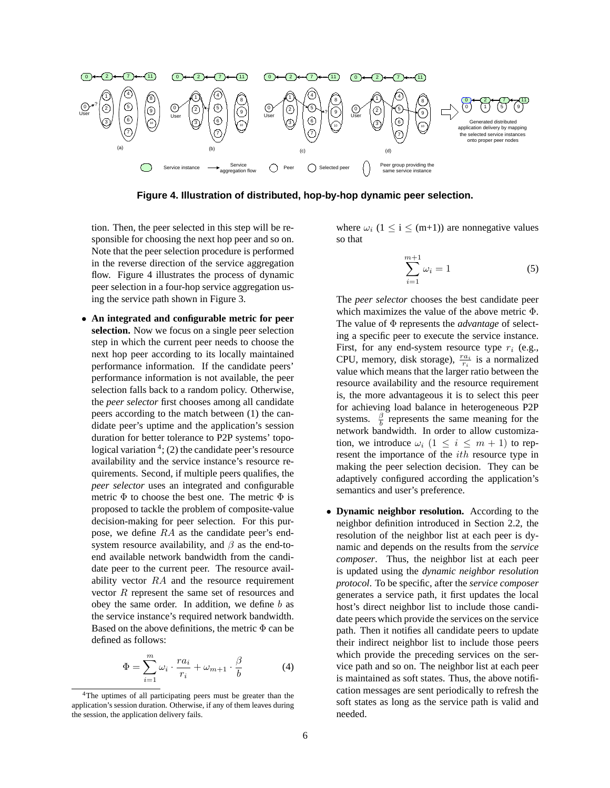

**Figure 4. Illustration of distributed, hop-by-hop dynamic peer selection.**

tion. Then, the peer selected in this step will be responsible for choosing the next hop peer and so on. Note that the peer selection procedure is performed in the reverse direction of the service aggregation flow. Figure 4 illustrates the process of dynamic peer selection in a four-hop service aggregation using the service path shown in Figure 3.

• **An integrated and configurable metric for peer selection.** Now we focus on a single peer selection step in which the current peer needs to choose the next hop peer according to its locally maintained performance information. If the candidate peers' performance information is not available, the peer selection falls back to a random policy. Otherwise, the *peer selector* first chooses among all candidate peers according to the match between (1) the candidate peer's uptime and the application's session duration for better tolerance to P2P systems' topological variation  $4$ ; (2) the candidate peer's resource availability and the service instance's resource requirements. Second, if multiple peers qualifies, the *peer selector* uses an integrated and configurable metric  $\Phi$  to choose the best one. The metric  $\Phi$  is proposed to tackle the problem of composite-value decision-making for peer selection. For this purpose, we define RA as the candidate peer's endsystem resource availability, and  $\beta$  as the end-toend available network bandwidth from the candidate peer to the current peer. The resource availability vector RA and the resource requirement vector R represent the same set of resources and obey the same order. In addition, we define  $b$  as the service instance's required network bandwidth. Based on the above definitions, the metric  $\Phi$  can be defined as follows:

$$
\Phi = \sum_{i=1}^{m} \omega_i \cdot \frac{ra_i}{r_i} + \omega_{m+1} \cdot \frac{\beta}{b} \tag{4}
$$

where  $\omega_i$  (1  $\leq$  i  $\leq$  (m+1)) are nonnegative values so that

$$
\sum_{i=1}^{m+1} \omega_i = 1\tag{5}
$$

The *peer selector* chooses the best candidate peer which maximizes the value of the above metric Φ. The value of Φ represents the *advantage* of selecting a specific peer to execute the service instance. First, for any end-system resource type  $r_i$  (e.g., CPU, memory, disk storage),  $\frac{ra_i}{r_i}$  is a normalized value which means that the larger ratio between the resource availability and the resource requirement is, the more advantageous it is to select this peer for achieving load balance in heterogeneous P2P systems.  $\frac{\beta}{b}$  represents the same meaning for the network bandwidth. In order to allow customization, we introduce  $\omega_i$   $(1 \leq i \leq m+1)$  to represent the importance of the ith resource type in making the peer selection decision. They can be adaptively configured according the application's semantics and user's preference.

• **Dynamic neighbor resolution.** According to the neighbor definition introduced in Section 2.2, the resolution of the neighbor list at each peer is dynamic and depends on the results from the *service composer*. Thus, the neighbor list at each peer is updated using the *dynamic neighbor resolution protocol*. To be specific, after the *service composer* generates a service path, it first updates the local host's direct neighbor list to include those candidate peers which provide the services on the service path. Then it notifies all candidate peers to update their indirect neighbor list to include those peers which provide the preceding services on the service path and so on. The neighbor list at each peer is maintained as soft states. Thus, the above notification messages are sent periodically to refresh the soft states as long as the service path is valid and needed.

<sup>4</sup>The uptimes of all participating peers must be greater than the application's session duration. Otherwise, if any of them leaves during the session, the application delivery fails.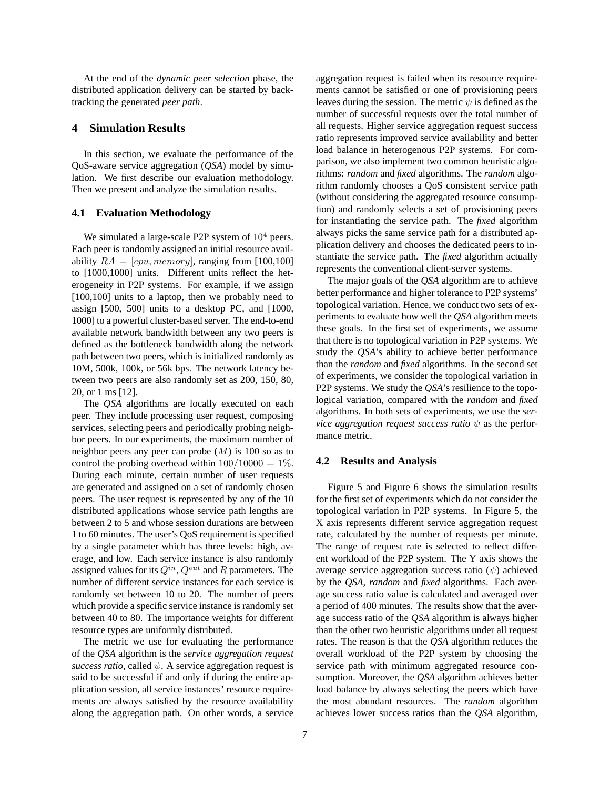At the end of the *dynamic peer selection* phase, the distributed application delivery can be started by backtracking the generated *peer path*.

# **4 Simulation Results**

In this section, we evaluate the performance of the QoS-aware service aggregation (*QSA*) model by simulation. We first describe our evaluation methodology. Then we present and analyze the simulation results.

#### **4.1 Evaluation Methodology**

We simulated a large-scale P2P system of  $10<sup>4</sup>$  peers. Each peer is randomly assigned an initial resource availability  $RA = [cpu, memory]$ , ranging from [100,100] to [1000,1000] units. Different units reflect the heterogeneity in P2P systems. For example, if we assign [100,100] units to a laptop, then we probably need to assign [500, 500] units to a desktop PC, and [1000, 1000] to a powerful cluster-based server. The end-to-end available network bandwidth between any two peers is defined as the bottleneck bandwidth along the network path between two peers, which is initialized randomly as 10M, 500k, 100k, or 56k bps. The network latency between two peers are also randomly set as 200, 150, 80, 20, or 1 ms [12].

The *QSA* algorithms are locally executed on each peer. They include processing user request, composing services, selecting peers and periodically probing neighbor peers. In our experiments, the maximum number of neighbor peers any peer can probe  $(M)$  is 100 so as to control the probing overhead within  $100/10000 = 1\%$ . During each minute, certain number of user requests are generated and assigned on a set of randomly chosen peers. The user request is represented by any of the 10 distributed applications whose service path lengths are between 2 to 5 and whose session durations are between 1 to 60 minutes. The user's QoS requirement is specified by a single parameter which has three levels: high, average, and low. Each service instance is also randomly assigned values for its  $Q^{in}$ ,  $Q^{out}$  and R parameters. The number of different service instances for each service is randomly set between 10 to 20. The number of peers which provide a specific service instance is randomly set between 40 to 80. The importance weights for different resource types are uniformly distributed.

The metric we use for evaluating the performance of the *QSA* algorithm is the *service aggregation request success ratio*, called  $\psi$ . A service aggregation request is said to be successful if and only if during the entire application session, all service instances' resource requirements are always satisfied by the resource availability along the aggregation path. On other words, a service

aggregation request is failed when its resource requirements cannot be satisfied or one of provisioning peers leaves during the session. The metric  $\psi$  is defined as the number of successful requests over the total number of all requests. Higher service aggregation request success ratio represents improved service availability and better load balance in heterogenous P2P systems. For comparison, we also implement two common heuristic algorithms: *random* and *fixed* algorithms. The *random* algorithm randomly chooses a QoS consistent service path (without considering the aggregated resource consumption) and randomly selects a set of provisioning peers for instantiating the service path. The *fixed* algorithm always picks the same service path for a distributed application delivery and chooses the dedicated peers to instantiate the service path. The *fixed* algorithm actually represents the conventional client-server systems.

The major goals of the *QSA* algorithm are to achieve better performance and higher tolerance to P2P systems' topological variation. Hence, we conduct two sets of experiments to evaluate how well the *QSA* algorithm meets these goals. In the first set of experiments, we assume that there is no topological variation in P2P systems. We study the *QSA*'s ability to achieve better performance than the *random* and *fixed* algorithms. In the second set of experiments, we consider the topological variation in P2P systems. We study the *QSA*'s resilience to the topological variation, compared with the *random* and *fixed* algorithms. In both sets of experiments, we use the *service aggregation request success ratio*  $\psi$  as the performance metric.

#### **4.2 Results and Analysis**

Figure 5 and Figure 6 shows the simulation results for the first set of experiments which do not consider the topological variation in P2P systems. In Figure 5, the X axis represents different service aggregation request rate, calculated by the number of requests per minute. The range of request rate is selected to reflect different workload of the P2P system. The Y axis shows the average service aggregation success ratio  $(\psi)$  achieved by the *QSA*, *random* and *fixed* algorithms. Each average success ratio value is calculated and averaged over a period of 400 minutes. The results show that the average success ratio of the *QSA* algorithm is always higher than the other two heuristic algorithms under all request rates. The reason is that the *QSA* algorithm reduces the overall workload of the P2P system by choosing the service path with minimum aggregated resource consumption. Moreover, the *QSA* algorithm achieves better load balance by always selecting the peers which have the most abundant resources. The *random* algorithm achieves lower success ratios than the *QSA* algorithm,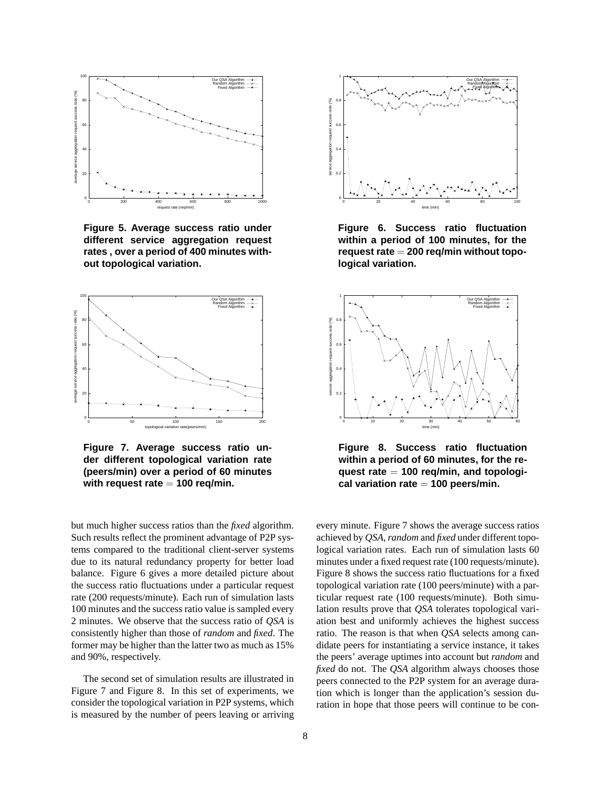

**Figure 5. Average success ratio under different service aggregation request rates , over a period of 400 minutes without topological variation.**



**Figure 7. Average success ratio under different topological variation rate (peers/min) over a period of 60 minutes with request rate** = **100 req/min.**

but much higher success ratios than the *fixed* algorithm. Such results reflect the prominent advantage of P2P systems compared to the traditional client-server systems due to its natural redundancy property for better load balance. Figure 6 gives a more detailed picture about the success ratio fluctuations under a particular request rate (200 requests/minute). Each run of simulation lasts 100 minutes and the success ratio value is sampled every 2 minutes. We observe that the success ratio of *QSA* is consistently higher than those of *random* and *fixed*. The former may be higher than the latter two as much as 15% and 90%, respectively.

The second set of simulation results are illustrated in Figure 7 and Figure 8. In this set of experiments, we consider the topological variation in P2P systems, which is measured by the number of peers leaving or arriving



**Figure 6. Success ratio fluctuation within a period of 100 minutes, for the request rate** = **200 req/min without topological variation.**



**Figure 8. Success ratio fluctuation within a period of 60 minutes, for the request rate** = **100 req/min, and topological variation rate** = **100 peers/min.**

every minute. Figure 7 shows the average success ratios achieved by *QSA*,*random* and *fixed* under different topological variation rates. Each run of simulation lasts 60 minutes under a fixed request rate (100 requests/minute). Figure 8 shows the success ratio fluctuations for a fixed topological variation rate (100 peers/minute) with a particular request rate (100 requests/minute). Both simulation results prove that *QSA* tolerates topological variation best and uniformly achieves the highest success ratio. The reason is that when *QSA* selects among candidate peers for instantiating a service instance, it takes the peers' average uptimes into account but *random* and *fixed* do not. The *QSA* algorithm always chooses those peers connected to the P2P system for an average duration which is longer than the application's session duration in hope that those peers will continue to be con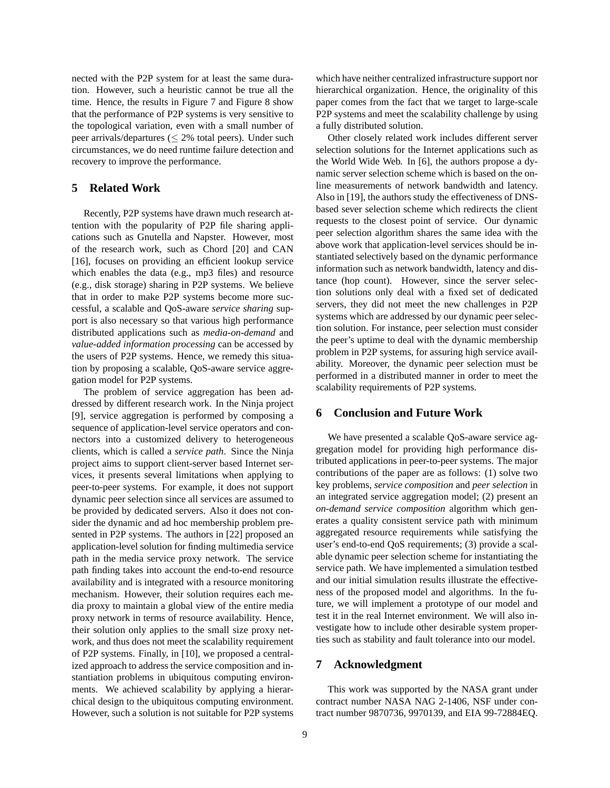nected with the P2P system for at least the same duration. However, such a heuristic cannot be true all the time. Hence, the results in Figure 7 and Figure 8 show that the performance of P2P systems is very sensitive to the topological variation, even with a small number of peer arrivals/departures (≤ 2% total peers). Under such circumstances, we do need runtime failure detection and recovery to improve the performance.

# **5 Related Work**

Recently, P2P systems have drawn much research attention with the popularity of P2P file sharing applications such as Gnutella and Napster. However, most of the research work, such as Chord [20] and CAN [16], focuses on providing an efficient lookup service which enables the data (e.g., mp3 files) and resource (e.g., disk storage) sharing in P2P systems. We believe that in order to make P2P systems become more successful, a scalable and QoS-aware *service sharing* support is also necessary so that various high performance distributed applications such as *media-on-demand* and *value-added information processing* can be accessed by the users of P2P systems. Hence, we remedy this situation by proposing a scalable, QoS-aware service aggregation model for P2P systems.

The problem of service aggregation has been addressed by different research work. In the Ninja project [9], service aggregation is performed by composing a sequence of application-level service operators and connectors into a customized delivery to heterogeneous clients, which is called a *service path*. Since the Ninja project aims to support client-server based Internet services, it presents several limitations when applying to peer-to-peer systems. For example, it does not support dynamic peer selection since all services are assumed to be provided by dedicated servers. Also it does not consider the dynamic and ad hoc membership problem presented in P2P systems. The authors in [22] proposed an application-level solution for finding multimedia service path in the media service proxy network. The service path finding takes into account the end-to-end resource availability and is integrated with a resource monitoring mechanism. However, their solution requires each media proxy to maintain a global view of the entire media proxy network in terms of resource availability. Hence, their solution only applies to the small size proxy network, and thus does not meet the scalability requirement of P2P systems. Finally, in [10], we proposed a centralized approach to address the service composition and instantiation problems in ubiquitous computing environments. We achieved scalability by applying a hierarchical design to the ubiquitous computing environment. However, such a solution is not suitable for P2P systems

which have neither centralized infrastructure support nor hierarchical organization. Hence, the originality of this paper comes from the fact that we target to large-scale P2P systems and meet the scalability challenge by using a fully distributed solution.

Other closely related work includes different server selection solutions for the Internet applications such as the World Wide Web. In [6], the authors propose a dynamic server selection scheme which is based on the online measurements of network bandwidth and latency. Also in [19], the authors study the effectiveness of DNSbased sever selection scheme which redirects the client requests to the closest point of service. Our dynamic peer selection algorithm shares the same idea with the above work that application-level services should be instantiated selectively based on the dynamic performance information such as network bandwidth, latency and distance (hop count). However, since the server selection solutions only deal with a fixed set of dedicated servers, they did not meet the new challenges in P2P systems which are addressed by our dynamic peer selection solution. For instance, peer selection must consider the peer's uptime to deal with the dynamic membership problem in P2P systems, for assuring high service availability. Moreover, the dynamic peer selection must be performed in a distributed manner in order to meet the scalability requirements of P2P systems.

# **6 Conclusion and Future Work**

We have presented a scalable QoS-aware service aggregation model for providing high performance distributed applications in peer-to-peer systems. The major contributions of the paper are as follows: (1) solve two key problems, *service composition* and *peer selection* in an integrated service aggregation model; (2) present an *on-demand service composition* algorithm which generates a quality consistent service path with minimum aggregated resource requirements while satisfying the user's end-to-end QoS requirements; (3) provide a scalable dynamic peer selection scheme for instantiating the service path. We have implemented a simulation testbed and our initial simulation results illustrate the effectiveness of the proposed model and algorithms. In the future, we will implement a prototype of our model and test it in the real Internet environment. We will also investigate how to include other desirable system properties such as stability and fault tolerance into our model.

# **7 Acknowledgment**

This work was supported by the NASA grant under contract number NASA NAG 2-1406, NSF under contract number 9870736, 9970139, and EIA 99-72884EQ.